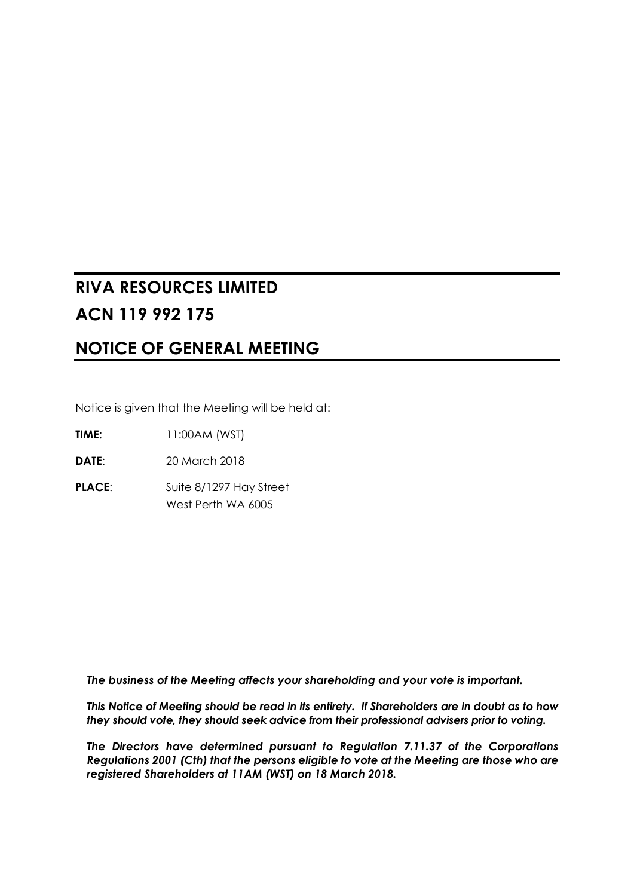# **RIVA RESOURCES LIMITED ACN 119 992 175**

# **NOTICE OF GENERAL MEETING**

Notice is given that the Meeting will be held at:

**TIME**: 11:00AM (WST)

**DATE**: 20 March 2018

**PLACE:** Suite 8/1297 Hay Street West Perth WA 6005

*The business of the Meeting affects your shareholding and your vote is important.* 

*This Notice of Meeting should be read in its entirety. If Shareholders are in doubt as to how they should vote, they should seek advice from their professional advisers prior to voting.* 

*The Directors have determined pursuant to Regulation 7.11.37 of the Corporations Regulations 2001 (Cth) that the persons eligible to vote at the Meeting are those who are registered Shareholders at 11AM (WST) on 18 March 2018.*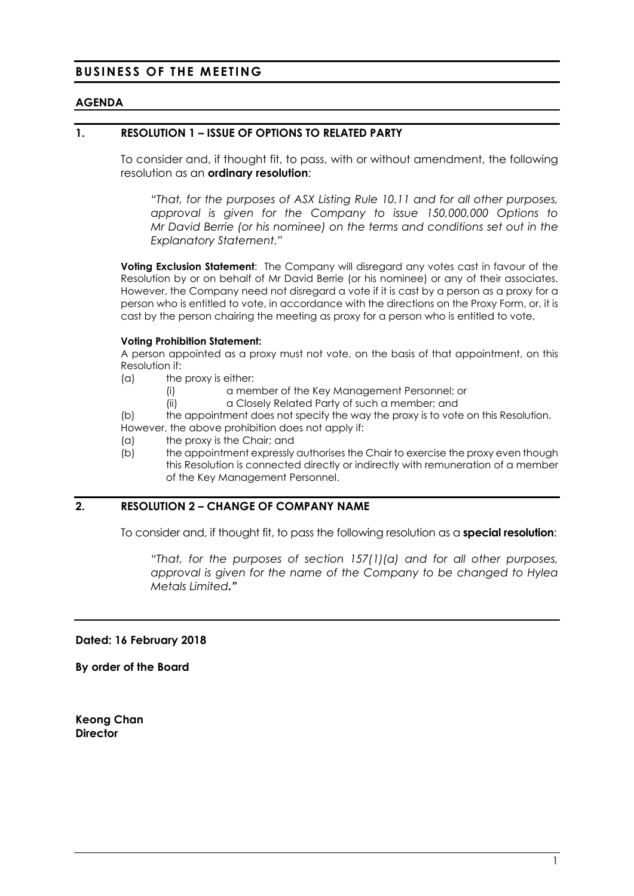# **BUSINESS OF THE MEETING**

#### **AGENDA**

#### **1. RESOLUTION 1 – ISSUE OF OPTIONS TO RELATED PARTY**

To consider and, if thought fit, to pass, with or without amendment, the following resolution as an **ordinary resolution**:

*"That, for the purposes of ASX Listing Rule 10.11 and for all other purposes, approval is given for the Company to issue 150,000,000 Options to Mr David Berrie (or his nominee) on the terms and conditions set out in the Explanatory Statement."* 

**Voting Exclusion Statement**: The Company will disregard any votes cast in favour of the Resolution by or on behalf of Mr David Berrie (or his nominee) or any of their associates. However, the Company need not disregard a vote if it is cast by a person as a proxy for a person who is entitled to vote, in accordance with the directions on the Proxy Form, or, it is cast by the person chairing the meeting as proxy for a person who is entitled to vote,

#### **Voting Prohibition Statement:**

A person appointed as a proxy must not vote, on the basis of that appointment, on this Resolution if:

(a) the proxy is either:

(i) a member of the Key Management Personnel; or

(ii) a Closely Related Party of such a member; and

(b) the appointment does not specify the way the proxy is to vote on this Resolution. However, the above prohibition does not apply if:

- (a) the proxy is the Chair; and
- (b) the appointment expressly authorises the Chair to exercise the proxy even though this Resolution is connected directly or indirectly with remuneration of a member of the Key Management Personnel.

#### **2. RESOLUTION 2 – CHANGE OF COMPANY NAME**

To consider and, if thought fit, to pass the following resolution as a **special resolution**:

*"That, for the purposes of section 157(1)(a) and for all other purposes, approval is given for the name of the Company to be changed to Hylea Metals Limited."* 

#### **Dated: 16 February 2018**

**By order of the Board** 

**Keong Chan Director**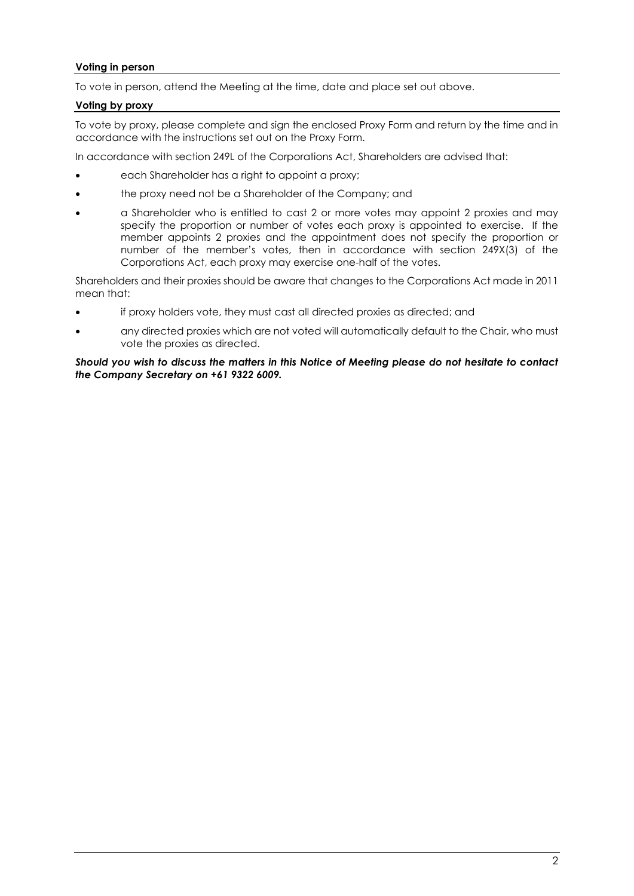#### **Voting in person**

To vote in person, attend the Meeting at the time, date and place set out above.

#### **Voting by proxy**

To vote by proxy, please complete and sign the enclosed Proxy Form and return by the time and in accordance with the instructions set out on the Proxy Form.

In accordance with section 249L of the Corporations Act, Shareholders are advised that:

- each Shareholder has a right to appoint a proxy;
- the proxy need not be a Shareholder of the Company; and
- a Shareholder who is entitled to cast 2 or more votes may appoint 2 proxies and may specify the proportion or number of votes each proxy is appointed to exercise. If the member appoints 2 proxies and the appointment does not specify the proportion or number of the member's votes, then in accordance with section 249X(3) of the Corporations Act, each proxy may exercise one-half of the votes.

Shareholders and their proxies should be aware that changes to the Corporations Act made in 2011 mean that:

- if proxy holders vote, they must cast all directed proxies as directed; and
- any directed proxies which are not voted will automatically default to the Chair, who must vote the proxies as directed.

*Should you wish to discuss the matters in this Notice of Meeting please do not hesitate to contact the Company Secretary on +61 9322 6009.*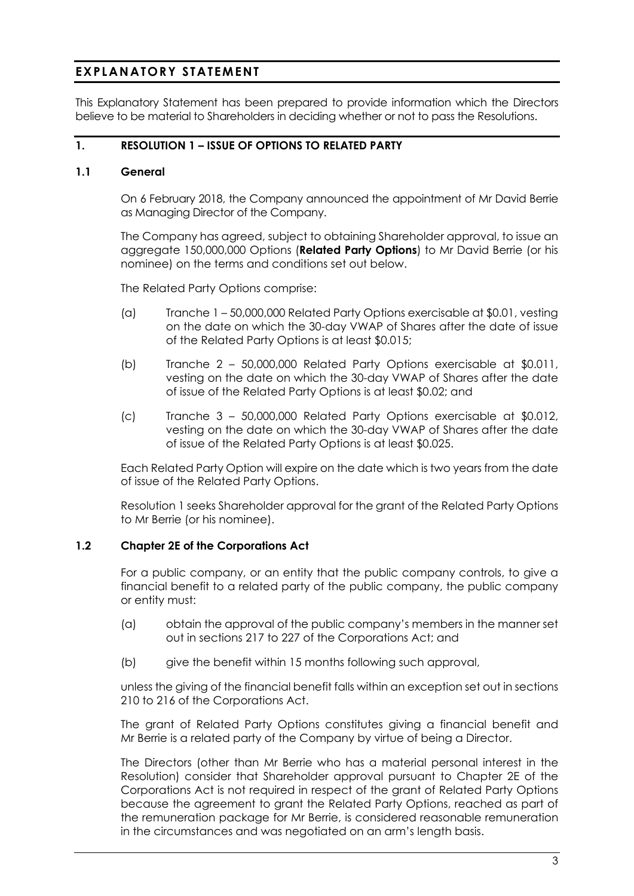# **EXPLANATORY STATEMENT**

This Explanatory Statement has been prepared to provide information which the Directors believe to be material to Shareholders in deciding whether or not to pass the Resolutions.

# **1. RESOLUTION 1 – ISSUE OF OPTIONS TO RELATED PARTY**

# **1.1 General**

On 6 February 2018, the Company announced the appointment of Mr David Berrie as Managing Director of the Company.

The Company has agreed, subject to obtaining Shareholder approval, to issue an aggregate 150,000,000 Options (**Related Party Options**) to Mr David Berrie (or his nominee) on the terms and conditions set out below.

The Related Party Options comprise:

- (a) Tranche 1 50,000,000 Related Party Options exercisable at \$0.01, vesting on the date on which the 30-day VWAP of Shares after the date of issue of the Related Party Options is at least \$0.015;
- (b) Tranche 2 50,000,000 Related Party Options exercisable at \$0.011, vesting on the date on which the 30-day VWAP of Shares after the date of issue of the Related Party Options is at least \$0.02; and
- (c) Tranche 3 50,000,000 Related Party Options exercisable at \$0.012, vesting on the date on which the 30-day VWAP of Shares after the date of issue of the Related Party Options is at least \$0.025.

Each Related Party Option will expire on the date which is two years from the date of issue of the Related Party Options.

Resolution 1 seeks Shareholder approval for the grant of the Related Party Options to Mr Berrie (or his nominee).

#### **1.2 Chapter 2E of the Corporations Act**

For a public company, or an entity that the public company controls, to give a financial benefit to a related party of the public company, the public company or entity must:

- (a) obtain the approval of the public company's members in the manner set out in sections 217 to 227 of the Corporations Act; and
- (b) give the benefit within 15 months following such approval,

unless the giving of the financial benefit falls within an exception set out in sections 210 to 216 of the Corporations Act.

The grant of Related Party Options constitutes giving a financial benefit and Mr Berrie is a related party of the Company by virtue of being a Director.

The Directors (other than Mr Berrie who has a material personal interest in the Resolution) consider that Shareholder approval pursuant to Chapter 2E of the Corporations Act is not required in respect of the grant of Related Party Options because the agreement to grant the Related Party Options, reached as part of the remuneration package for Mr Berrie, is considered reasonable remuneration in the circumstances and was negotiated on an arm's length basis.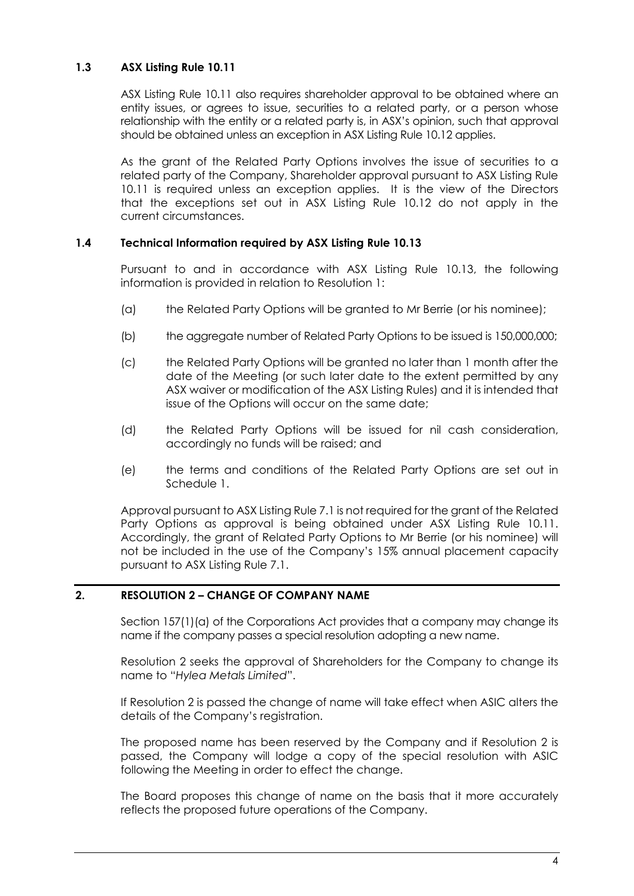# **1.3 ASX Listing Rule 10.11**

ASX Listing Rule 10.11 also requires shareholder approval to be obtained where an entity issues, or agrees to issue, securities to a related party, or a person whose relationship with the entity or a related party is, in ASX's opinion, such that approval should be obtained unless an exception in ASX Listing Rule 10.12 applies.

As the grant of the Related Party Options involves the issue of securities to a related party of the Company, Shareholder approval pursuant to ASX Listing Rule 10.11 is required unless an exception applies. It is the view of the Directors that the exceptions set out in ASX Listing Rule 10.12 do not apply in the current circumstances.

#### **1.4 Technical Information required by ASX Listing Rule 10.13**

Pursuant to and in accordance with ASX Listing Rule 10.13, the following information is provided in relation to Resolution 1:

- (a) the Related Party Options will be granted to Mr Berrie (or his nominee);
- (b) the aggregate number of Related Party Options to be issued is 150,000,000;
- (c) the Related Party Options will be granted no later than 1 month after the date of the Meeting (or such later date to the extent permitted by any ASX waiver or modification of the ASX Listing Rules) and it is intended that issue of the Options will occur on the same date;
- (d) the Related Party Options will be issued for nil cash consideration, accordingly no funds will be raised; and
- (e) the terms and conditions of the Related Party Options are set out in Schedule 1.

Approval pursuant to ASX Listing Rule 7.1 is not required for the grant of the Related Party Options as approval is being obtained under ASX Listing Rule 10.11. Accordingly, the grant of Related Party Options to Mr Berrie (or his nominee) will not be included in the use of the Company's 15% annual placement capacity pursuant to ASX Listing Rule 7.1.

# **2. RESOLUTION 2 – CHANGE OF COMPANY NAME**

Section 157(1)(a) of the Corporations Act provides that a company may change its name if the company passes a special resolution adopting a new name.

Resolution 2 seeks the approval of Shareholders for the Company to change its name to "*Hylea Metals Limited*".

If Resolution 2 is passed the change of name will take effect when ASIC alters the details of the Company's registration.

The proposed name has been reserved by the Company and if Resolution 2 is passed, the Company will lodge a copy of the special resolution with ASIC following the Meeting in order to effect the change.

The Board proposes this change of name on the basis that it more accurately reflects the proposed future operations of the Company.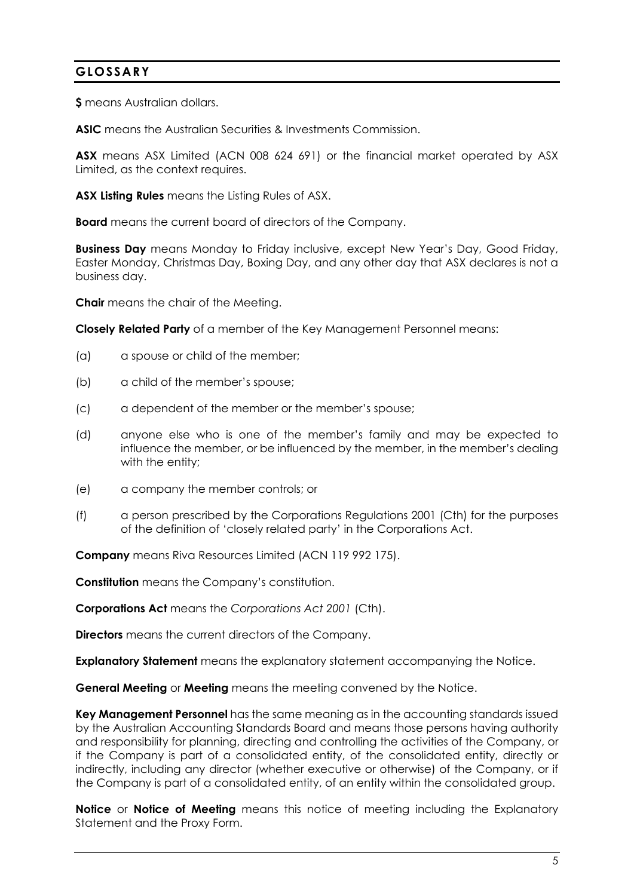# **GLOSSARY**

**\$** means Australian dollars.

**ASIC** means the Australian Securities & Investments Commission.

**ASX** means ASX Limited (ACN 008 624 691) or the financial market operated by ASX Limited, as the context requires.

**ASX Listing Rules** means the Listing Rules of ASX.

**Board** means the current board of directors of the Company.

**Business Day** means Monday to Friday inclusive, except New Year's Day, Good Friday, Easter Monday, Christmas Day, Boxing Day, and any other day that ASX declares is not a business day.

**Chair** means the chair of the Meeting.

**Closely Related Party** of a member of the Key Management Personnel means:

- (a) a spouse or child of the member;
- (b) a child of the member's spouse;
- (c) a dependent of the member or the member's spouse;
- (d) anyone else who is one of the member's family and may be expected to influence the member, or be influenced by the member, in the member's dealing with the entity;
- (e) a company the member controls; or
- (f) a person prescribed by the Corporations Regulations 2001 (Cth) for the purposes of the definition of 'closely related party' in the Corporations Act.

**Company** means Riva Resources Limited (ACN 119 992 175).

**Constitution** means the Company's constitution.

**Corporations Act** means the *Corporations Act 2001* (Cth).

**Directors** means the current directors of the Company.

**Explanatory Statement** means the explanatory statement accompanying the Notice.

**General Meeting** or **Meeting** means the meeting convened by the Notice.

**Key Management Personnel** has the same meaning as in the accounting standards issued by the Australian Accounting Standards Board and means those persons having authority and responsibility for planning, directing and controlling the activities of the Company, or if the Company is part of a consolidated entity, of the consolidated entity, directly or indirectly, including any director (whether executive or otherwise) of the Company, or if the Company is part of a consolidated entity, of an entity within the consolidated group.

**Notice** or **Notice of Meeting** means this notice of meeting including the Explanatory Statement and the Proxy Form.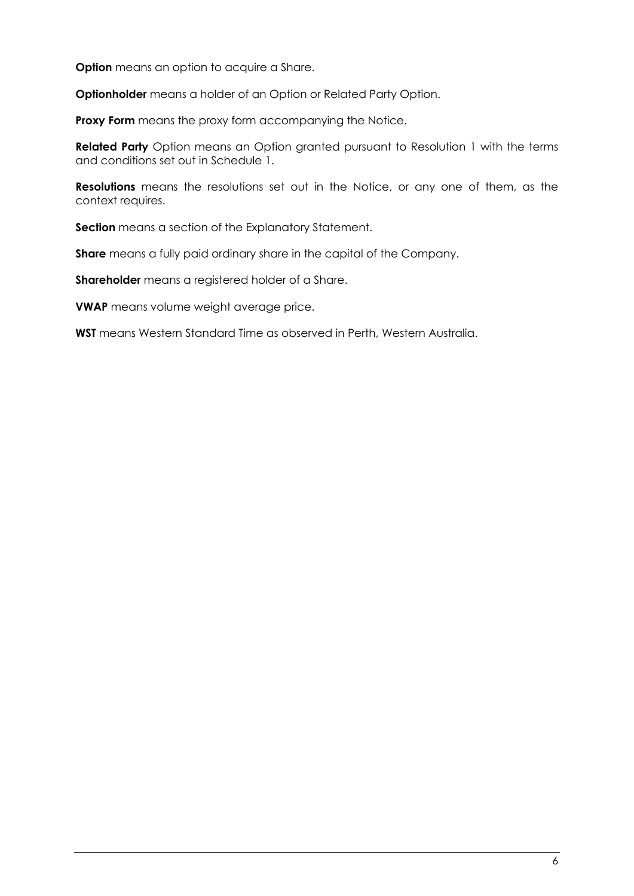**Option** means an option to acquire a Share.

**Optionholder** means a holder of an Option or Related Party Option.

**Proxy Form** means the proxy form accompanying the Notice.

**Related Party** Option means an Option granted pursuant to Resolution 1 with the terms and conditions set out in Schedule 1.

**Resolutions** means the resolutions set out in the Notice, or any one of them, as the context requires.

**Section** means a section of the Explanatory Statement.

**Share** means a fully paid ordinary share in the capital of the Company.

**Shareholder** means a registered holder of a Share.

**VWAP** means volume weight average price.

**WST** means Western Standard Time as observed in Perth, Western Australia.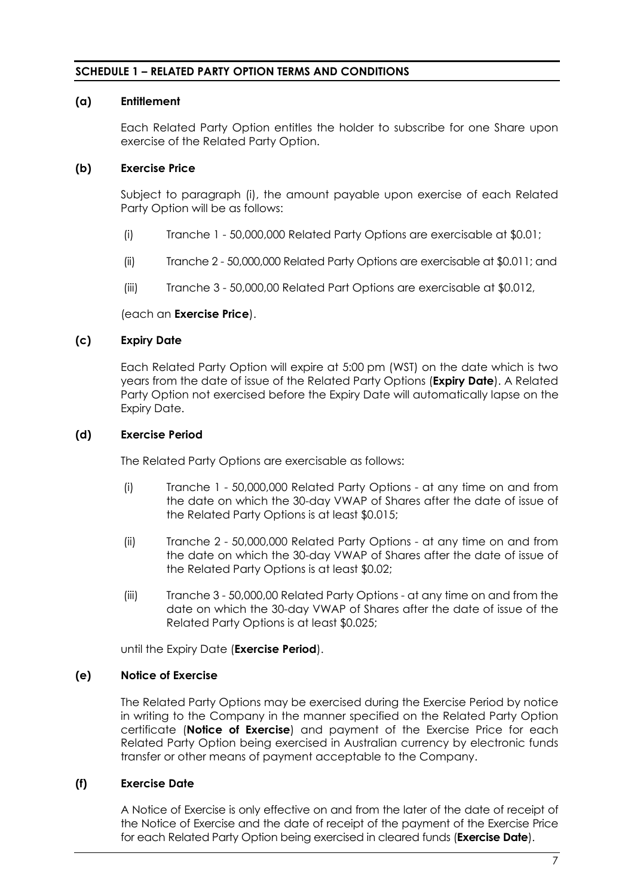# **SCHEDULE 1 – RELATED PARTY OPTION TERMS AND CONDITIONS**

#### **(a) Entitlement**

Each Related Party Option entitles the holder to subscribe for one Share upon exercise of the Related Party Option.

# **(b) Exercise Price**

Subject to paragraph (i), the amount payable upon exercise of each Related Party Option will be as follows:

- (i) Tranche 1 50,000,000 Related Party Options are exercisable at \$0.01;
- (ii) Tranche 2 50,000,000 Related Party Options are exercisable at \$0.011; and
- (iii) Tranche 3 50,000,00 Related Part Options are exercisable at \$0.012,

#### (each an **Exercise Price**).

#### **(c) Expiry Date**

Each Related Party Option will expire at 5:00 pm (WST) on the date which is two years from the date of issue of the Related Party Options (**Expiry Date**). A Related Party Option not exercised before the Expiry Date will automatically lapse on the Expiry Date.

#### **(d) Exercise Period**

The Related Party Options are exercisable as follows:

- (i) Tranche 1 50,000,000 Related Party Options at any time on and from the date on which the 30-day VWAP of Shares after the date of issue of the Related Party Options is at least \$0.015;
- (ii) Tranche 2 50,000,000 Related Party Options at any time on and from the date on which the 30-day VWAP of Shares after the date of issue of the Related Party Options is at least \$0.02;
- (iii) Tranche 3 50,000,00 Related Party Options at any time on and from the date on which the 30-day VWAP of Shares after the date of issue of the Related Party Options is at least \$0.025;

until the Expiry Date (**Exercise Period**).

#### **(e) Notice of Exercise**

The Related Party Options may be exercised during the Exercise Period by notice in writing to the Company in the manner specified on the Related Party Option certificate (**Notice of Exercise**) and payment of the Exercise Price for each Related Party Option being exercised in Australian currency by electronic funds transfer or other means of payment acceptable to the Company.

#### **(f) Exercise Date**

A Notice of Exercise is only effective on and from the later of the date of receipt of the Notice of Exercise and the date of receipt of the payment of the Exercise Price for each Related Party Option being exercised in cleared funds (**Exercise Date**).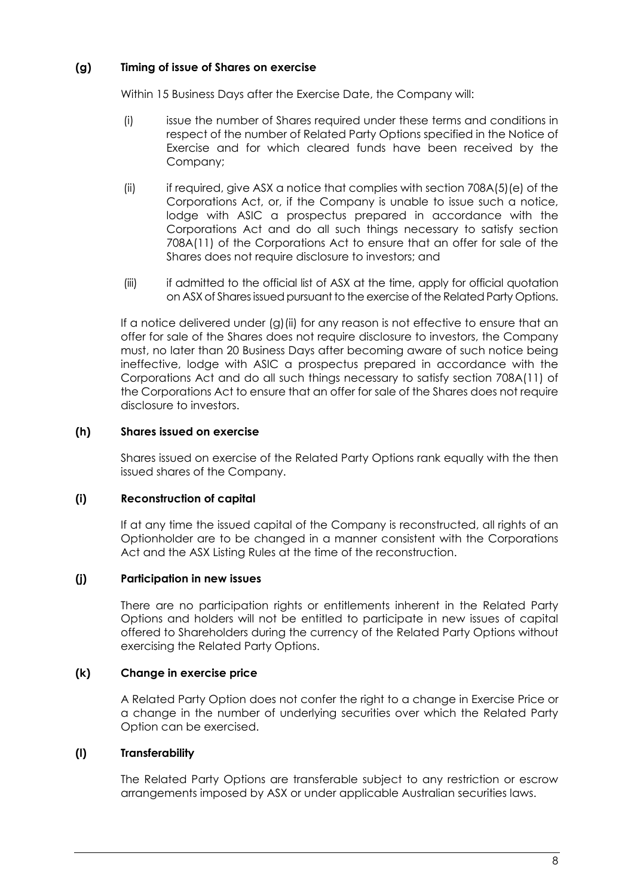# **(g) Timing of issue of Shares on exercise**

Within 15 Business Days after the Exercise Date, the Company will:

- (i) issue the number of Shares required under these terms and conditions in respect of the number of Related Party Options specified in the Notice of Exercise and for which cleared funds have been received by the Company;
- (ii) if required, give ASX a notice that complies with section 708A(5)(e) of the Corporations Act, or, if the Company is unable to issue such a notice, lodge with ASIC a prospectus prepared in accordance with the Corporations Act and do all such things necessary to satisfy section 708A(11) of the Corporations Act to ensure that an offer for sale of the Shares does not require disclosure to investors; and
- (iii) if admitted to the official list of ASX at the time, apply for official quotation on ASX of Shares issued pursuant to the exercise of the Related Party Options.

If a notice delivered under (g)(ii) for any reason is not effective to ensure that an offer for sale of the Shares does not require disclosure to investors, the Company must, no later than 20 Business Days after becoming aware of such notice being ineffective, lodge with ASIC a prospectus prepared in accordance with the Corporations Act and do all such things necessary to satisfy section 708A(11) of the Corporations Act to ensure that an offer for sale of the Shares does not require disclosure to investors.

#### **(h) Shares issued on exercise**

Shares issued on exercise of the Related Party Options rank equally with the then issued shares of the Company.

#### **(i) Reconstruction of capital**

If at any time the issued capital of the Company is reconstructed, all rights of an Optionholder are to be changed in a manner consistent with the Corporations Act and the ASX Listing Rules at the time of the reconstruction.

#### **(j) Participation in new issues**

There are no participation rights or entitlements inherent in the Related Party Options and holders will not be entitled to participate in new issues of capital offered to Shareholders during the currency of the Related Party Options without exercising the Related Party Options.

#### **(k) Change in exercise price**

A Related Party Option does not confer the right to a change in Exercise Price or a change in the number of underlying securities over which the Related Party Option can be exercised.

#### **(l) Transferability**

The Related Party Options are transferable subject to any restriction or escrow arrangements imposed by ASX or under applicable Australian securities laws.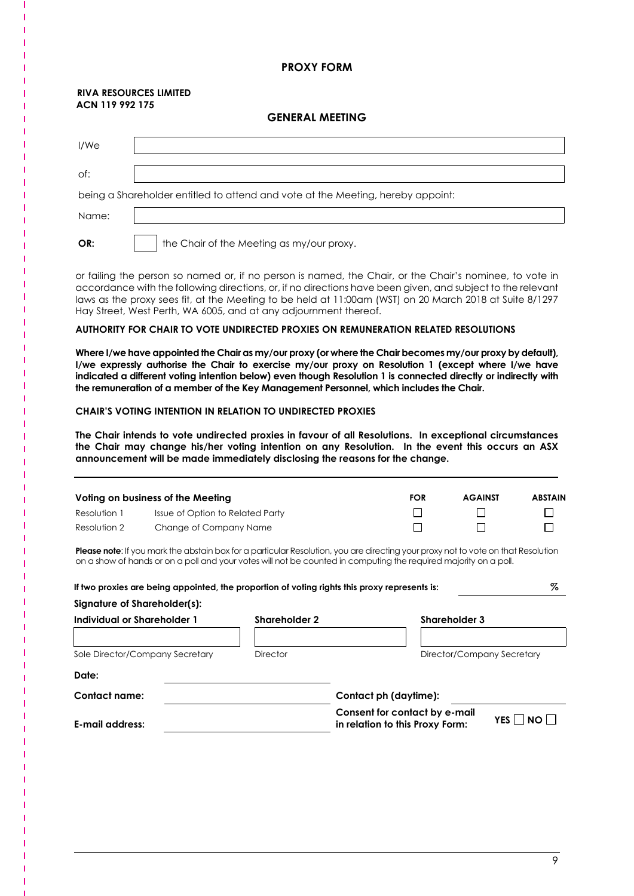#### **PROXY FORM**

#### **RIVA RESOURCES LIMITED ACN 119 992 175**

#### **GENERAL MEETING**

| I/We  |                                                                                 |
|-------|---------------------------------------------------------------------------------|
| of:   |                                                                                 |
|       | being a Shareholder entitled to attend and vote at the Meeting, hereby appoint: |
| Name: |                                                                                 |
| OR:   | the Chair of the Meeting as my/our proxy.                                       |

or failing the person so named or, if no person is named, the Chair, or the Chair's nominee, to vote in accordance with the following directions, or, if no directions have been given, and subject to the relevant laws as the proxy sees fit, at the Meeting to be held at 11:00am (WST) on 20 March 2018 at Suite 8/1297 Hay Street, West Perth, WA 6005, and at any adjournment thereof.

#### **AUTHORITY FOR CHAIR TO VOTE UNDIRECTED PROXIES ON REMUNERATION RELATED RESOLUTIONS**

**Where I/we have appointed the Chair as my/our proxy (or where the Chair becomes my/our proxy by default), I/we expressly authorise the Chair to exercise my/our proxy on Resolution 1 (except where I/we have indicated a different voting intention below) even though Resolution 1 is connected directly or indirectly with the remuneration of a member of the Key Management Personnel, which includes the Chair.** 

#### **CHAIR'S VOTING INTENTION IN RELATION TO UNDIRECTED PROXIES**

**The Chair intends to vote undirected proxies in favour of all Resolutions. In exceptional circumstances the Chair may change his/her voting intention on any Resolution. In the event this occurs an ASX announcement will be made immediately disclosing the reasons for the change.** 

|              | Voting on business of the Meeting | <b>FOR</b> | <b>AGAINST</b> | <b>ABSTAIN</b> |
|--------------|-----------------------------------|------------|----------------|----------------|
| Resolution 1 | Issue of Option to Related Party  |            |                |                |
| Resolution 2 | Change of Company Name            |            |                |                |

**Please note**: If you mark the abstain box for a particular Resolution, you are directing your proxy not to vote on that Resolution on a show of hands or on a poll and your votes will not be counted in computing the required majority on a poll.

| If two proxies are being appointed, the proportion of voting rights this proxy represents is: |                      |                                                                  | Z                          |  |
|-----------------------------------------------------------------------------------------------|----------------------|------------------------------------------------------------------|----------------------------|--|
| Signature of Shareholder(s):                                                                  |                      |                                                                  |                            |  |
| Individual or Shareholder 1                                                                   | <b>Shareholder 2</b> |                                                                  | <b>Shareholder 3</b>       |  |
|                                                                                               |                      |                                                                  |                            |  |
| Sole Director/Company Secretary                                                               | Director             |                                                                  | Director/Company Secretary |  |
| Date:                                                                                         |                      |                                                                  |                            |  |
| Contact name:                                                                                 |                      | Contact ph (daytime):                                            |                            |  |
| E-mail address:                                                                               |                      | Consent for contact by e-mail<br>in relation to this Proxy Form: | YES    NO                  |  |